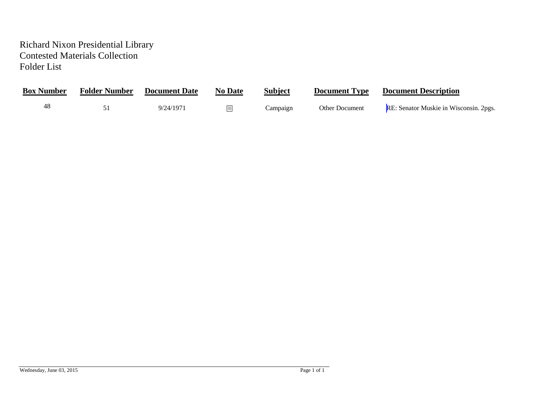## Richard Nixon Presidential Library Contested Materials Collection Folder List

| <b>Box Number</b> | <b>Folder Number</b> | <b>Document Date</b> | <b>No Date</b> | <b>Subject</b> | <b>Document Type</b> | <b>Document Description</b>            |
|-------------------|----------------------|----------------------|----------------|----------------|----------------------|----------------------------------------|
| 48                |                      | 9/24/1971            |                | Campaign       | Other Document       | RE: Senator Muskie in Wisconsin. 2pgs. |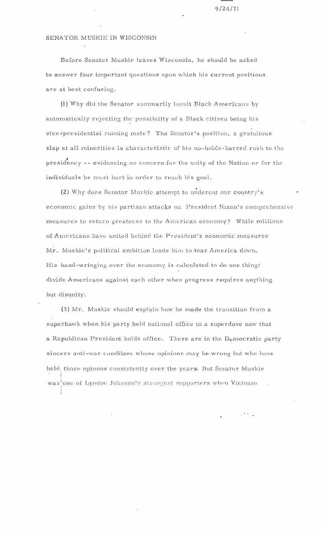$9/24/71$ 

## <span id="page-1-0"></span>SENATOR MUSKIE IN WISCONSIN

Before Senator Muskie leaves Wisconsin, he should be asked to answer four important questions upon which his current positions are at best confusing.

(1) Why did the Senator summarily insult Black Americans by automatically rejecting the possibility of a Black citizen being his vice-presidential running mate? The Senator's position, a gratuitous slap at all minorities is characteristic of his no-holds-barred rush to the presidency -- evidencing no concern for the unity of the Nation or for the individuals he must hurt in order to reach his goal.

(2) Why does Senator Muskie attempt to undercut our country's economic gains by his partisan attacks on President Nixon's comprehensive measures to return greatness to the American economy? While millions of Americans have united behind the President's economic measures Mr. Muskie's political ambition leads him to tear America down. His hand-wringing over the economy is calculated to do one thing: divide Americans against each other when progress requires anything but disunity.

(3) Mr. Muskie should explain how he made the transition from a superhawk when his party held national office to a superdove now that a Republican President holds office. There are in the Democratic party sincere anti-war candidates whose opinions may be wrong but who have held those opinons consistently over the years. But Senator Muskie was one of Lyndon Johnson's strongest supporters when Vietnam